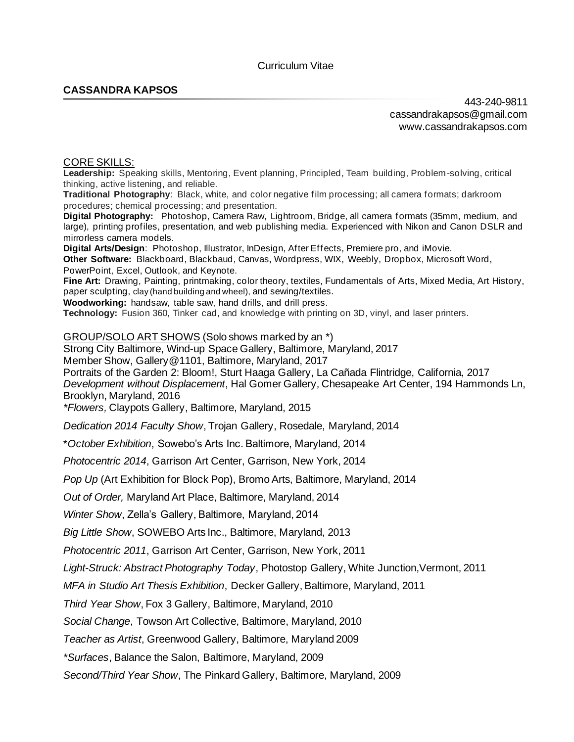## **CASSANDRA KAPSOS**

443-240-9811 cassandrakapsos@gmail.com www.cassandrakapsos.com

#### CORE SKILLS:

**Leadership:** Speaking skills, Mentoring, Event planning, Principled, Team building, Problem-solving, critical thinking, active listening, and reliable.

**Traditional Photography**: Black, white, and color negative film processing; all camera formats; darkroom procedures; chemical processing; and presentation.

**Digital Photography:** Photoshop, Camera Raw, Lightroom, Bridge, all camera formats (35mm, medium, and large), printing profiles, presentation, and web publishing media. Experienced with Nikon and Canon DSLR and mirrorless camera models.

**Digital Arts/Design**: Photoshop, Illustrator, InDesign, After Effects, Premiere pro, and iMovie. **Other Software:** Blackboard, Blackbaud, Canvas, Wordpress, WIX, Weebly, Dropbox, Microsoft Word, PowerPoint, Excel, Outlook, and Keynote.

**Fine Art:** Drawing, Painting, printmaking, color theory, textiles, Fundamentals of Arts, Mixed Media, Art History, paper sculpting, clay (hand building and wheel), and sewing/textiles.

**Woodworking:** handsaw, table saw, hand drills, and drill press.

**Technology:** Fusion 360, Tinker cad, and knowledge with printing on 3D, vinyl, and laser printers.

GROUP/SOLO ART SHOWS (Solo shows marked by an \*)

Strong City Baltimore, Wind-up Space Gallery, Baltimore, Maryland, 2017

Member Show, Gallery@1101, Baltimore, Maryland, 2017

Portraits of the Garden 2: Bloom!, Sturt Haaga Gallery, La Cañada Flintridge, California, 2017 *Development without Displacement*, Hal Gomer Gallery, Chesapeake Art Center, 194 Hammonds Ln,

Brooklyn, Maryland, 2016

*\*Flowers,* Claypots Gallery, Baltimore, Maryland, 2015

*Dedication 2014 Faculty Show*, Trojan Gallery, Rosedale, Maryland, 2014

\**October Exhibition*, Sowebo's Arts Inc. Baltimore, Maryland, 2014

*Photocentric 2014*, Garrison Art Center, Garrison, New York, 2014

*Pop Up* (Art Exhibition for Block Pop), Bromo Arts, Baltimore, Maryland, 2014

*Out of Order,* Maryland Art Place, Baltimore, Maryland, 2014

*Winter Show*, Zella's Gallery, Baltimore, Maryland, 2014

*Big Little Show*, SOWEBO Arts Inc., Baltimore, Maryland, 2013

*Photocentric 2011*, Garrison Art Center, Garrison, New York, 2011

*Light-Struck: Abstract Photography Today*, Photostop Gallery, White Junction,Vermont, 2011

*MFA in Studio Art Thesis Exhibition*, Decker Gallery, Baltimore, Maryland, 2011

*Third Year Show*, Fox 3 Gallery, Baltimore, Maryland, 2010

*Social Change*, Towson Art Collective, Baltimore, Maryland, 2010

*Teacher as Artist*, Greenwood Gallery, Baltimore, Maryland 2009

*\*Surfaces*, Balance the Salon, Baltimore, Maryland, 2009

*Second/Third Year Show*, The Pinkard Gallery, Baltimore, Maryland, 2009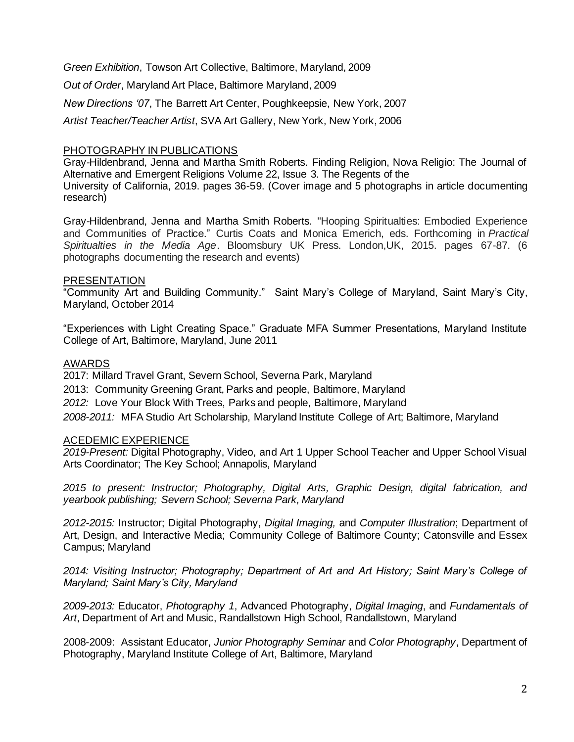*Green Exhibition*, Towson Art Collective, Baltimore, Maryland, 2009

*Out of Order*, Maryland Art Place, Baltimore Maryland, 2009

*New Directions '07*, The Barrett Art Center, Poughkeepsie, New York, 2007

*Artist Teacher/Teacher Artist*, SVA Art Gallery, New York, New York, 2006

#### PHOTOGRAPHY IN PUBLICATIONS

Gray-Hildenbrand, Jenna and Martha Smith Roberts. Finding Religion, Nova Religio: The Journal of Alternative and Emergent Religions Volume 22, Issue 3. The Regents of the University of California, 2019. pages 36-59. (Cover image and 5 photographs in article documenting research)

Gray-Hildenbrand, Jenna and Martha Smith Roberts. "Hooping Spiritualties: Embodied Experience and Communities of Practice." Curtis Coats and Monica Emerich, eds. Forthcoming in *Practical Spiritualties in the Media Age*. Bloomsbury UK Press. London,UK, 2015. pages 67-87. (6 photographs documenting the research and events)

## PRESENTATION

"Community Art and Building Community." Saint Mary's College of Maryland, Saint Mary's City, Maryland, October 2014

"Experiences with Light Creating Space." Graduate MFA Summer Presentations, Maryland Institute College of Art, Baltimore, Maryland, June 2011

## AWARDS

2017: Millard Travel Grant, Severn School, Severna Park, Maryland 2013: Community Greening Grant, Parks and people, Baltimore, Maryland *2012:* Love Your Block With Trees, Parks and people, Baltimore, Maryland *2008-2011:* MFA Studio Art Scholarship, Maryland Institute College of Art; Baltimore, Maryland

# ACEDEMIC EXPERIENCE

*2019-Present:* Digital Photography, Video, and Art 1 Upper School Teacher and Upper School Visual Arts Coordinator; The Key School; Annapolis, Maryland

*2015 to present: Instructor; Photography, Digital Arts, Graphic Design, digital fabrication, and yearbook publishing; Severn School; Severna Park, Maryland*

*2012-2015:* Instructor; Digital Photography, *Digital Imaging,* and *Computer Illustration*; Department of Art, Design, and Interactive Media; Community College of Baltimore County; Catonsville and Essex Campus; Maryland

*2014: Visiting Instructor; Photography; Department of Art and Art History; Saint Mary's College of Maryland; Saint Mary's City, Maryland*

*2009-2013:* Educator, *Photography 1*, Advanced Photography, *Digital Imaging*, and *Fundamentals of Art*, Department of Art and Music, Randallstown High School, Randallstown, Maryland

2008-2009: Assistant Educator, *Junior Photography Seminar* and *Color Photography*, Department of Photography, Maryland Institute College of Art, Baltimore, Maryland